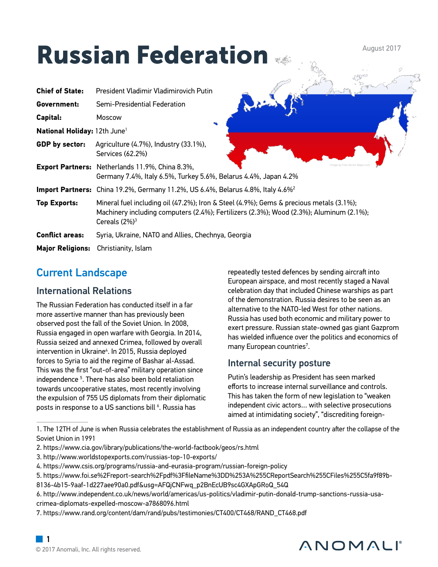# Russian Federation

**Chief of State:** President Vladimir Vladimirovich Putin **Government:** Semi-Presidential Federation **Capital:** Moscow **National Holiday:** 12th June1 **GDP by sector:** Agriculture (4.7%), Industry (33.1%), Services (62.2%) **Export Partners:** Netherlands 11.9%, China 8.3%, Germany 7.4%, Italy 6.5%, Turkey 5.6%, Belarus 4.4%, Japan 4.2% **Import Partners:** China 19.2%, Germany 11.2%, US 6.4%, Belarus 4.8%, Italy 4.6%2 **Top Exports:** Mineral fuel including oil (47.2%); Iron & Steel (4.9%); Gems & precious metals (3.1%); Machinery including computers (2.4%); Fertilizers (2.3%); Wood (2.3%); Aluminum (2.1%); Cereals  $(2%)<sup>3</sup>$ **Conflict areas:** Syria, Ukraine, NATO and Allies, Chechnya, Georgia **Major Religions:** Christianity, Islam Image by Free Vector Maps.com

# Current Landscape

### International Relations

The Russian Federation has conducted itself in a far more assertive manner than has previously been observed post the fall of the Soviet Union. In 2008, Russia engaged in open warfare with Georgia. In 2014, Russia seized and annexed Crimea, followed by overall intervention in Ukraine<sup>4</sup>. In 2015, Russia deployed forces to Syria to aid the regime of Bashar al-Assad. This was the first "out-of-area" military operation since independence 5 . There has also been bold retaliation towards uncooperative states, most recently involving the expulsion of 755 US diplomats from their diplomatic posts in response to a US sanctions bill <sup>6</sup>. Russia has

repeatedly tested defences by sending aircraft into European airspace, and most recently staged a Naval celebration day that included Chinese warships as part of the demonstration. Russia desires to be seen as an alternative to the NATO-led West for other nations. Russia has used both economic and military power to exert pressure. Russian state-owned gas giant Gazprom has wielded influence over the politics and economics of many European countries $^7$ .

August 2017

### Internal security posture

Putin's leadership as President has seen marked efforts to increase internal surveillance and controls. This has taken the form of new legislation to "weaken independent civic actors… with selective prosecutions aimed at intimidating society", "discrediting foreign-

# ANOMALI

<sup>1.</sup> The 12TH of June is when Russia celebrates the establishment of Russia as an independent country after the collapse of the Soviet Union in 1991

<sup>2.</sup> https://www.cia.gov/library/publications/the-world-factbook/geos/rs.html

<sup>3.</sup> http://www.worldstopexports.com/russias-top-10-exports/

<sup>4.</sup> https://www.csis.org/programs/russia-and-eurasia-program/russian-foreign-policy

<sup>5.</sup> https://www.foi.se%2Freport-search%2Fpdf%3FfileName%3DD%253A%255CReportSearch%255CFiles%255C5fa9f89b-

<sup>8136-4</sup>b15-9aaf-1d227aee90a0.pdf&usg=AFQjCNFwq\_p2BnEcUB9sc4GXApGRoQ\_54Q

<sup>6.</sup> http://www.independent.co.uk/news/world/americas/us-politics/vladimir-putin-donald-trump-sanctions-russia-usacrimea-diplomats-expelled-moscow-a7868096.html

<sup>7.</sup> https://www.rand.org/content/dam/rand/pubs/testimonies/CT400/CT468/RAND\_CT468.pdf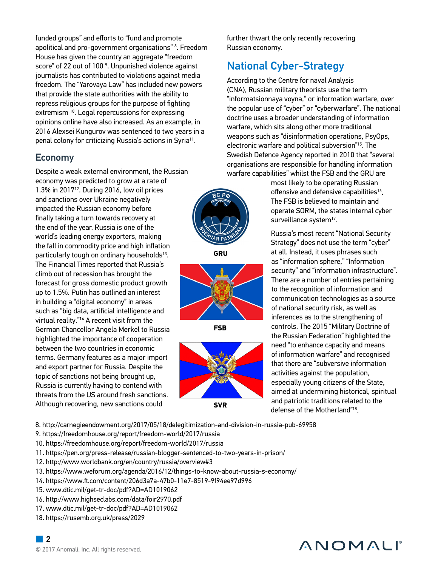funded groups" and efforts to "fund and promote apolitical and pro-government organisations" <sup>8</sup>. Freedom House has given the country an aggregate "freedom score" of 22 out of 100  $^{\circ}$ . Unpunished violence against journalists has contributed to violations against media freedom. The "Yarovaya Law" has included new powers that provide the state authorities with the ability to repress religious groups for the purpose of fighting extremism <sup>10</sup>. Legal repercussions for expressing opinions online have also increased. As an example, in 2016 Alexsei Kungurov was sentenced to two years in a penal colony for criticizing Russia's actions in Syria<sup>11</sup>.

#### Economy

Despite a weak external environment, the Russian economy was predicted to grow at a rate of  $1.3\%$  in 2017<sup>12</sup>. During 2016, low oil prices and sanctions over Ukraine negatively impacted the Russian economy before finally taking a turn towards recovery at the end of the year. Russia is one of the world's leading energy exporters, making the fall in commodity price and high inflation particularly tough on ordinary households<sup>13</sup>. The Financial Times reported that Russia's climb out of recession has brought the forecast for gross domestic product growth up to 1.5%. Putin has outlined an interest in building a "digital economy" in areas such as "big data, artificial intelligence and virtual reality."14 A recent visit from the German Chancellor Angela Merkel to Russia highlighted the importance of cooperation between the two countries in economic terms. Germany features as a major import and export partner for Russia. Despite the topic of sanctions not being brought up, Russia is currently having to contend with threats from the US around fresh sanctions. Although recovering, new sanctions could

**GRU**



**FSB**



further thwart the only recently recovering Russian economy.

### National Cyber-Strategy

According to the Centre for naval Analysis (CNA), Russian military theorists use the term "informatsionnaya voyna," or information warfare, over the popular use of "cyber" or "cyberwarfare". The national doctrine uses a broader understanding of information warfare, which sits along other more traditional weapons such as "disinformation operations, PsyOps, electronic warfare and political subversion"15. The Swedish Defence Agency reported in 2010 that "several organisations are responsible for handling information warfare capabilities" whilst the FSB and the GRU are

> most likely to be operating Russian offensive and defensive capabilities<sup>16</sup>. The FSB is believed to maintain and operate SORM, the states internal cyber surveillance system<sup>17</sup>.

Russia's most recent "National Security Strategy" does not use the term "cyber" at all. Instead, it uses phrases such as "information sphere," "Information security" and "information infrastructure". There are a number of entries pertaining to the recognition of information and communication technologies as a source of national security risk, as well as inferences as to the strengthening of controls. The 2015 "Military Doctrine of the Russian Federation" highlighted the need "to enhance capacity and means of information warfare" and recognised that there are "subversive information activities against the population, especially young citizens of the State, aimed at undermining historical, spiritual and patriotic traditions related to the defense of the Motherland"18.

8. http://carnegieendowment.org/2017/05/18/delegitimization-and-division-in-russia-pub-69958

- 9. https://freedomhouse.org/report/freedom-world/2017/russia
- 10. https://freedomhouse.org/report/freedom-world/2017/russia
- 11. https://pen.org/press-release/russian-blogger-sentenced-to-two-years-in-prison/
- 12. http://www.worldbank.org/en/country/russia/overview#3
- 13. https://www.weforum.org/agenda/2016/12/things-to-know-about-russia-s-economy/
- 14. https://www.ft.com/content/206d3a7a-47b0-11e7-8519-9f94ee97d996
- 15. www.dtic.mil/get-tr-doc/pdf?AD=AD1019062
- 16. http://www.highseclabs.com/data/foir2970.pdf
- 17. www.dtic.mil/get-tr-doc/pdf?AD=AD1019062
- 18. https://rusemb.org.uk/press/2029

# ANOMALI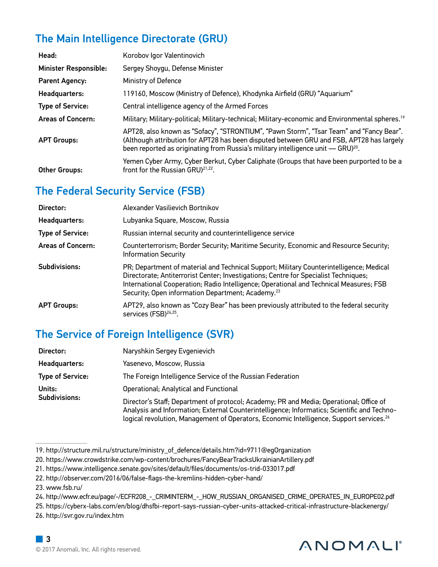# The Main Intelligence Directorate (GRU)

| Head:                        | Korobov Igor Valentinovich                                                                                                                                                                                                                                                          |
|------------------------------|-------------------------------------------------------------------------------------------------------------------------------------------------------------------------------------------------------------------------------------------------------------------------------------|
| <b>Minister Responsible:</b> | Sergey Shoygu, Defense Minister                                                                                                                                                                                                                                                     |
| <b>Parent Agency:</b>        | Ministry of Defence                                                                                                                                                                                                                                                                 |
| Headquarters:                | 119160, Moscow (Ministry of Defence), Khodynka Airfield (GRU) "Aquarium"                                                                                                                                                                                                            |
| <b>Type of Service:</b>      | Central intelligence agency of the Armed Forces                                                                                                                                                                                                                                     |
| <b>Areas of Concern:</b>     | Military; Military-political; Military-technical; Military-economic and Environmental spheres. <sup>19</sup>                                                                                                                                                                        |
| <b>APT Groups:</b>           | APT28, also known as "Sofacy", "STRONTIUM", "Pawn Storm", "Tsar Team" and "Fancy Bear".<br>(Although attribution for APT28 has been disputed between GRU and FSB, APT28 has largely<br>been reported as originating from Russia's military intelligence unit - GRU) <sup>20</sup> . |
| <b>Other Groups:</b>         | Yemen Cyber Army, Cyber Berkut, Cyber Caliphate (Groups that have been purported to be a<br>front for the Russian GRU) <sup>21,22</sup> .                                                                                                                                           |

# The Federal Security Service (FSB)

| Director:                | Alexander Vasilievich Bortnikov                                                                                                                                                                                                                                                                                                            |
|--------------------------|--------------------------------------------------------------------------------------------------------------------------------------------------------------------------------------------------------------------------------------------------------------------------------------------------------------------------------------------|
| Headquarters:            | Lubyanka Square, Moscow, Russia                                                                                                                                                                                                                                                                                                            |
| <b>Type of Service:</b>  | Russian internal security and counterintelligence service                                                                                                                                                                                                                                                                                  |
| <b>Areas of Concern:</b> | Counterterrorism; Border Security; Maritime Security, Economic and Resource Security;<br><b>Information Security</b>                                                                                                                                                                                                                       |
| Subdivisions:            | PR; Department of material and Technical Support; Military Counterintelligence; Medical<br>Directorate; Antiterrorist Center; Investigations; Centre for Specialist Techniques;<br>International Cooperation; Radio Intelligence; Operational and Technical Measures; FSB<br>Security; Open information Department; Academy. <sup>23</sup> |
| <b>APT Groups:</b>       | APT29, also known as "Cozy Bear" has been previously attributed to the federal security<br>services (FSB) <sup>24,25</sup> .                                                                                                                                                                                                               |

# The Service of Foreign Intelligence (SVR)

| Director:               | Naryshkin Sergey Evgenievich                                                                                                                                                                                                                                                                  |
|-------------------------|-----------------------------------------------------------------------------------------------------------------------------------------------------------------------------------------------------------------------------------------------------------------------------------------------|
| Headquarters:           | Yasenevo, Moscow, Russia                                                                                                                                                                                                                                                                      |
| <b>Type of Service:</b> | The Foreign Intelligence Service of the Russian Federation                                                                                                                                                                                                                                    |
| Units:<br>Subdivisions: | Operational; Analytical and Functional                                                                                                                                                                                                                                                        |
|                         | Director's Staff; Department of protocol; Academy; PR and Media; Operational; Office of<br>Analysis and Information; External Counterintelligence; Informatics; Scientific and Techno-<br>logical revolution, Management of Operators, Economic Intelligence, Support services. <sup>26</sup> |

- 25. https://cyberx-labs.com/en/blog/dhsfbi-report-says-russian-cyber-units-attacked-critical-infrastructure-blackenergy/
- 26. http://svr.gov.ru/index.htm

# ANOMALI®

<sup>19.</sup> http://structure.mil.ru/structure/ministry\_of\_defence/details.htm?id=9711@egOrganization

<sup>20.</sup> https://www.crowdstrike.com/wp-content/brochures/FancyBearTracksUkrainianArtillery.pdf

<sup>21.</sup> https://www.intelligence.senate.gov/sites/default/files/documents/os-trid-033017.pdf

<sup>22.</sup> http://observer.com/2016/06/false-flags-the-kremlins-hidden-cyber-hand/

<sup>23.</sup> www.fsb.ru/

<sup>24.</sup> http://www.ecfr.eu/page/-/ECFR208\_-\_CRIMINTERM\_-\_HOW\_RUSSIAN\_ORGANISED\_CRIME\_OPERATES\_IN\_EUROPE02.pdf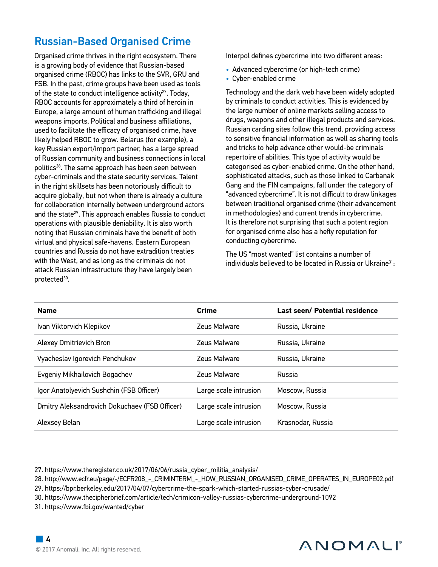### Russian-Based Organised Crime

Organised crime thrives in the right ecosystem. There is a growing body of evidence that Russian-based organised crime (RBOC) has links to the SVR, GRU and FSB. In the past, crime groups have been used as tools of the state to conduct intelligence activity<sup>27</sup>. Today, RBOC accounts for approximately a third of heroin in Europe, a large amount of human trafficking and illegal weapons imports. Political and business affiliations, used to facilitate the efficacy of organised crime, have likely helped RBOC to grow. Belarus (for example), a key Russian export/import partner, has a large spread of Russian community and business connections in local politics28. The same approach has been seen between cyber-criminals and the state security services. Talent in the right skillsets has been notoriously difficult to acquire globally, but not when there is already a culture for collaboration internally between underground actors and the state<sup>29</sup>. This approach enables Russia to conduct operations with plausible deniability. It is also worth noting that Russian criminals have the benefit of both virtual and physical safe-havens. Eastern European countries and Russia do not have extradition treaties with the West, and as long as the criminals do not attack Russian infrastructure they have largely been protected<sup>30</sup>.

Interpol defines cybercrime into two different areas:

- Advanced cybercrime (or high-tech crime)
- Cyber-enabled crime

Technology and the dark web have been widely adopted by criminals to conduct activities. This is evidenced by the large number of online markets selling access to drugs, weapons and other illegal products and services. Russian carding sites follow this trend, providing access to sensitive financial information as well as sharing tools and tricks to help advance other would-be criminals repertoire of abilities. This type of activity would be categorised as cyber-enabled crime. On the other hand, sophisticated attacks, such as those linked to Carbanak Gang and the FIN campaigns, fall under the category of "advanced cybercrime". It is not difficult to draw linkages between traditional organised crime (their advancement in methodologies) and current trends in cybercrime. It is therefore not surprising that such a potent region for organised crime also has a hefty reputation for conducting cybercrime.

The US "most wanted" list contains a number of individuals believed to be located in Russia or Ukraine<sup>31</sup>:

| <b>Name</b>                                   | Crime                 | Last seen/ Potential residence |
|-----------------------------------------------|-----------------------|--------------------------------|
| Ivan Viktorvich Klepikov                      | Zeus Malware          | Russia, Ukraine                |
| <b>Alexey Dmitrievich Bron</b>                | Zeus Malware          | Russia, Ukraine                |
| Vyacheslav Igorevich Penchukov                | Zeus Malware          | Russia, Ukraine                |
| Evgeniy Mikhailovich Bogachev                 | Zeus Malware          | Russia                         |
| Igor Anatolyevich Sushchin (FSB Officer)      | Large scale intrusion | Moscow, Russia                 |
| Dmitry Aleksandrovich Dokuchaev (FSB Officer) | Large scale intrusion | Moscow, Russia                 |
| Alexsey Belan                                 | Large scale intrusion | Krasnodar, Russia              |



<sup>27.</sup> https://www.theregister.co.uk/2017/06/06/russia\_cyber\_militia\_analysis/

<sup>28.</sup> http://www.ecfr.eu/page/-/ECFR208\_-\_CRIMINTERM\_-\_HOW\_RUSSIAN\_ORGANISED\_CRIME\_OPERATES\_IN\_EUROPE02.pdf

<sup>29.</sup> https://bpr.berkeley.edu/2017/04/07/cybercrime-the-spark-which-started-russias-cyber-crusade/

<sup>30.</sup> https://www.thecipherbrief.com/article/tech/crimicon-valley-russias-cybercrime-underground-1092

<sup>31.</sup> https://www.fbi.gov/wanted/cyber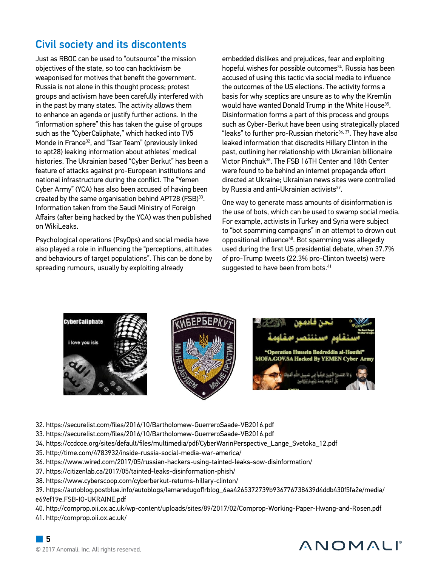### Civil society and its discontents

Just as RBOC can be used to "outsource" the mission objectives of the state, so too can hacktivism be weaponised for motives that benefit the government. Russia is not alone in this thought process; protest groups and activism have been carefully interfered with in the past by many states. The activity allows them to enhance an agenda or justify further actions. In the "information sphere" this has taken the guise of groups such as the "CyberCaliphate," which hacked into TV5 Monde in France<sup>32</sup>, and "Tsar Team" (previously linked to apt28) leaking information about athletes' medical histories. The Ukrainian based "Cyber Berkut" has been a feature of attacks against pro-European institutions and national infrastructure during the conflict. The "Yemen Cyber Army" (YCA) has also been accused of having been created by the same organisation behind APT28 (FSB)33. Information taken from the Saudi Ministry of Foreign Affairs (after being hacked by the YCA) was then published on WikiLeaks.

Psychological operations (PsyOps) and social media have also played a role in influencing the "perceptions, attitudes and behaviours of target populations". This can be done by spreading rumours, usually by exploiting already

embedded dislikes and prejudices, fear and exploiting hopeful wishes for possible outcomes<sup>34</sup>. Russia has been accused of using this tactic via social media to influence the outcomes of the US elections. The activity forms a basis for why sceptics are unsure as to why the Kremlin would have wanted Donald Trump in the White House<sup>35</sup>. Disinformation forms a part of this process and groups such as Cyber-Berkut have been using strategically placed "leaks" to further pro-Russian rhetoric<sup>36, 37</sup>. They have also leaked information that discredits Hillary Clinton in the past, outlining her relationship with Ukrainian billionaire Victor Pinchuk38. The FSB 16TH Center and 18th Center were found to be behind an internet propaganda effort directed at Ukraine; Ukrainian news sites were controlled by Russia and anti-Ukrainian activists<sup>39</sup>.

One way to generate mass amounts of disinformation is the use of bots, which can be used to swamp social media. For example, activists in Turkey and Syria were subject to "bot spamming campaigns" in an attempt to drown out oppositional influence40. Bot spamming was allegedly used during the first US presidential debate, when 37.7% of pro-Trump tweets (22.3% pro-Clinton tweets) were suggested to have been from bots.<sup>41</sup>



- 32. https://securelist.com/files/2016/10/Bartholomew-GuerreroSaade-VB2016.pdf
- 33. https://securelist.com/files/2016/10/Bartholomew-GuerreroSaade-VB2016.pdf
- 34. https://ccdcoe.org/sites/default/files/multimedia/pdf/CyberWarinPerspective\_Lange\_Svetoka\_12.pdf
- 35. http://time.com/4783932/inside-russia-social-media-war-america/
- 36. https://www.wired.com/2017/05/russian-hackers-using-tainted-leaks-sow-disinformation/
- 37. https://citizenlab.ca/2017/05/tainted-leaks-disinformation-phish/
- 38. https://www.cyberscoop.com/cyberberkut-returns-hillary-clinton/
- 39. https://autoblog.postblue.info/autoblogs/lamaredugoffrblog\_6aa4265372739b936776738439d4ddb430f5fa2e/media/ e69ef19e.FSB-IO-UKRAINE.pdf

40. http://comprop.oii.ox.ac.uk/wp-content/uploads/sites/89/2017/02/Comprop-Working-Paper-Hwang-and-Rosen.pdf

41. http://comprop.oii.ox.ac.uk/



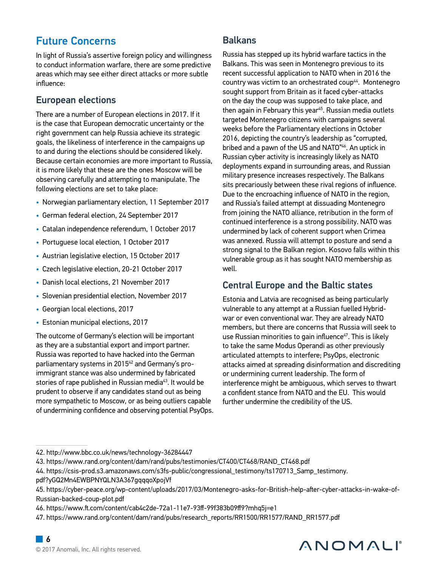### Future Concerns

In light of Russia's assertive foreign policy and willingness to conduct information warfare, there are some predictive areas which may see either direct attacks or more subtle influence:

### European elections

There are a number of European elections in 2017. If it is the case that European democratic uncertainty or the right government can help Russia achieve its strategic goals, the likeliness of interference in the campaigns up to and during the elections should be considered likely. Because certain economies are more important to Russia, it is more likely that these are the ones Moscow will be observing carefully and attempting to manipulate. The following elections are set to take place:

- Norwegian parliamentary election, 11 September 2017
- German federal election, 24 September 2017
- Catalan independence referendum, 1 October 2017
- Portuguese local election, 1 October 2017
- Austrian legislative election, 15 October 2017
- Czech legislative election, 20-21 October 2017
- Danish local elections, 21 November 2017
- Slovenian presidential election, November 2017
- Georgian local elections, 2017
- Estonian municipal elections, 2017

The outcome of Germany's election will be important as they are a substantial export and import partner. Russia was reported to have hacked into the German parliamentary systems in 2015<sup>42</sup> and Germany's proimmigrant stance was also undermined by fabricated stories of rape published in Russian media<sup>43</sup>. It would be prudent to observe if any candidates stand out as being more sympathetic to Moscow, or as being outliers capable of undermining confidence and observing potential PsyOps.

### Balkans

Russia has stepped up its hybrid warfare tactics in the Balkans. This was seen in Montenegro previous to its recent successful application to NATO when in 2016 the country was victim to an orchestrated coup<sup>44</sup>. Montenegro sought support from Britain as it faced cyber-attacks on the day the coup was supposed to take place, and then again in February this year<sup>45</sup>. Russian media outlets targeted Montenegro citizens with campaigns several weeks before the Parliamentary elections in October 2016, depicting the country's leadership as "corrupted, bribed and a pawn of the US and NATO"<sup>46</sup>. An uptick in Russian cyber activity is increasingly likely as NATO deployments expand in surrounding areas, and Russian military presence increases respectively. The Balkans sits precariously between these rival regions of influence. Due to the encroaching influence of NATO in the region, and Russia's failed attempt at dissuading Montenegro from joining the NATO alliance, retribution in the form of continued interference is a strong possibility. NATO was undermined by lack of coherent support when Crimea was annexed. Russia will attempt to posture and send a strong signal to the Balkan region. Kosovo falls within this vulnerable group as it has sought NATO membership as well.

### Central Europe and the Baltic states

Estonia and Latvia are recognised as being particularly vulnerable to any attempt at a Russian fuelled Hybridwar or even conventional war. They are already NATO members, but there are concerns that Russia will seek to use Russian minorities to gain influence<sup>47</sup>. This is likely to take the same Modus Operandi as other previously articulated attempts to interfere; PsyOps, electronic attacks aimed at spreading disinformation and discrediting or undermining current leadership. The form of interference might be ambiguous, which serves to thwart a confident stance from NATO and the EU. This would further undermine the credibility of the US.

pdf?yGQ2Mn4EWBPNYQLN3A367gqqqoXpojVf



<sup>42.</sup> http://www.bbc.co.uk/news/technology-36284447

<sup>43.</sup> https://www.rand.org/content/dam/rand/pubs/testimonies/CT400/CT468/RAND\_CT468.pdf

<sup>44.</sup> https://csis-prod.s3.amazonaws.com/s3fs-public/congressional\_testimony/ts170713\_Samp\_testimony.

<sup>45.</sup> https://cyber-peace.org/wp-content/uploads/2017/03/Montenegro-asks-for-British-help-after-cyber-attacks-in-wake-of-Russian-backed-coup-plot.pdf

<sup>46.</sup> https://www.ft.com/content/cab4c2de-72a1-11e7-93ff-99f383b09ff9?mhq5j=e1

<sup>47.</sup> https://www.rand.org/content/dam/rand/pubs/research\_reports/RR1500/RR1577/RAND\_RR1577.pdf